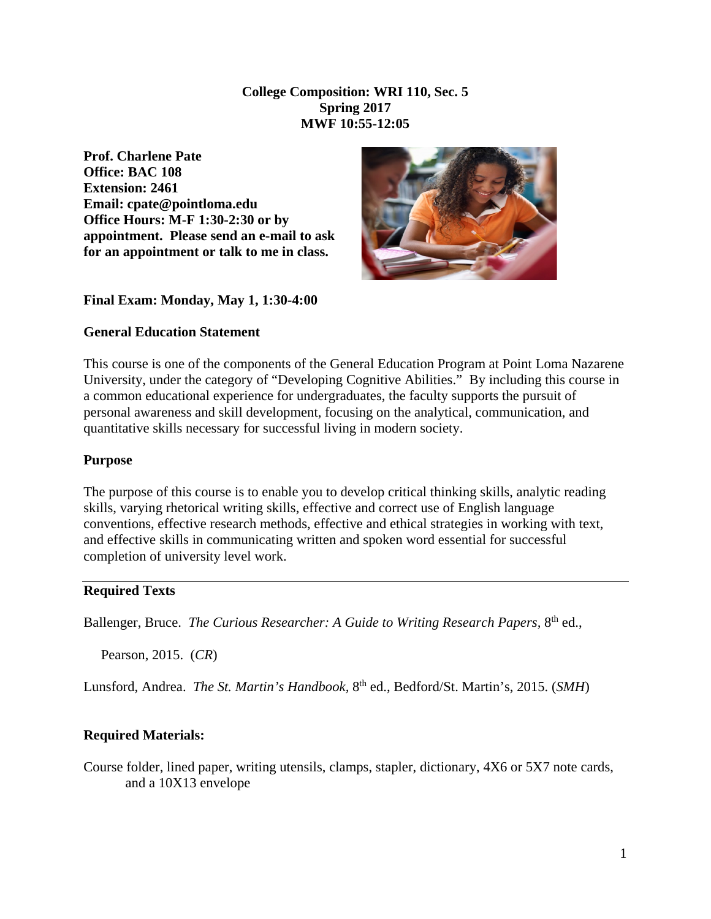**College Composition: WRI 110, Sec. 5 Spring 2017 MWF 10:55-12:05**

**Prof. Charlene Pate Office: BAC 108 Extension: 2461 Email: cpate@pointloma.edu Office Hours: M-F 1:30-2:30 or by appointment. Please send an e-mail to ask for an appointment or talk to me in class.** 



#### **Final Exam: Monday, May 1, 1:30-4:00**

#### **General Education Statement**

This course is one of the components of the General Education Program at Point Loma Nazarene University, under the category of "Developing Cognitive Abilities." By including this course in a common educational experience for undergraduates, the faculty supports the pursuit of personal awareness and skill development, focusing on the analytical, communication, and quantitative skills necessary for successful living in modern society.

#### **Purpose**

The purpose of this course is to enable you to develop critical thinking skills, analytic reading skills, varying rhetorical writing skills, effective and correct use of English language conventions, effective research methods, effective and ethical strategies in working with text, and effective skills in communicating written and spoken word essential for successful completion of university level work.

#### **Required Texts**

Ballenger, Bruce. *The Curious Researcher: A Guide to Writing Research Papers,* 8th ed.,

Pearson, 2015. (*CR*)

Lunsford, Andrea. *The St. Martin's Handbook,* 8th ed., Bedford/St. Martin's, 2015. (*SMH*)

#### **Required Materials:**

Course folder, lined paper, writing utensils, clamps, stapler, dictionary, 4X6 or 5X7 note cards, and a 10X13 envelope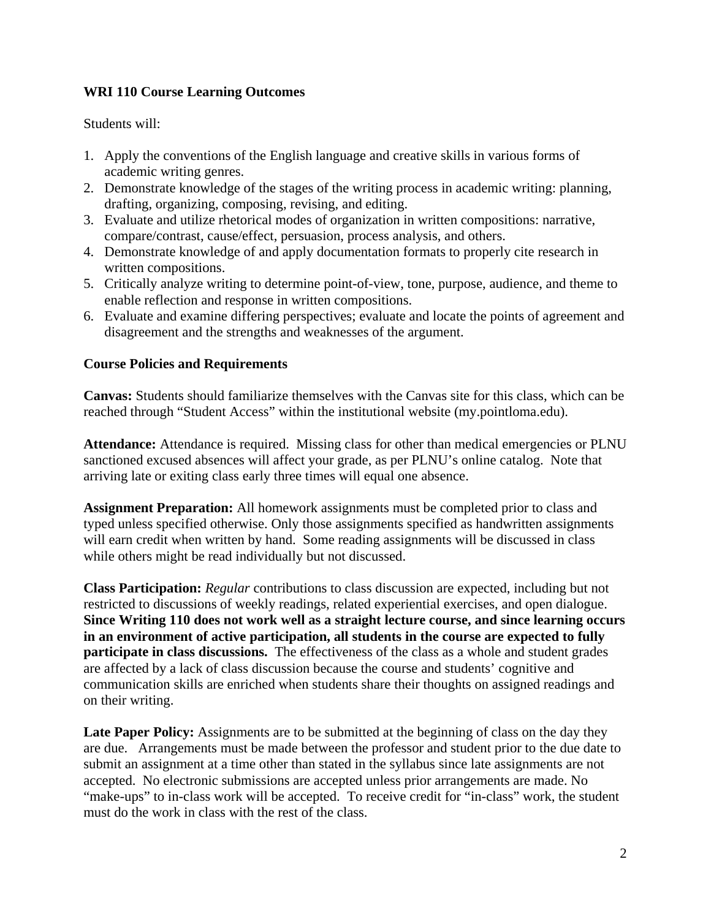## **WRI 110 Course Learning Outcomes**

Students will:

- 1. Apply the conventions of the English language and creative skills in various forms of academic writing genres.
- 2. Demonstrate knowledge of the stages of the writing process in academic writing: planning, drafting, organizing, composing, revising, and editing.
- 3. Evaluate and utilize rhetorical modes of organization in written compositions: narrative, compare/contrast, cause/effect, persuasion, process analysis, and others.
- 4. Demonstrate knowledge of and apply documentation formats to properly cite research in written compositions.
- 5. Critically analyze writing to determine point-of-view, tone, purpose, audience, and theme to enable reflection and response in written compositions.
- 6. Evaluate and examine differing perspectives; evaluate and locate the points of agreement and disagreement and the strengths and weaknesses of the argument.

## **Course Policies and Requirements**

**Canvas:** Students should familiarize themselves with the Canvas site for this class, which can be reached through "Student Access" within the institutional website (my.pointloma.edu).

**Attendance:** Attendance is required. Missing class for other than medical emergencies or PLNU sanctioned excused absences will affect your grade, as per PLNU's online catalog. Note that arriving late or exiting class early three times will equal one absence.

**Assignment Preparation:** All homework assignments must be completed prior to class and typed unless specified otherwise. Only those assignments specified as handwritten assignments will earn credit when written by hand. Some reading assignments will be discussed in class while others might be read individually but not discussed.

**Class Participation:** *Regular* contributions to class discussion are expected, including but not restricted to discussions of weekly readings, related experiential exercises, and open dialogue. **Since Writing 110 does not work well as a straight lecture course, and since learning occurs in an environment of active participation, all students in the course are expected to fully participate in class discussions.** The effectiveness of the class as a whole and student grades are affected by a lack of class discussion because the course and students' cognitive and communication skills are enriched when students share their thoughts on assigned readings and on their writing.

Late Paper Policy: Assignments are to be submitted at the beginning of class on the day they are due. Arrangements must be made between the professor and student prior to the due date to submit an assignment at a time other than stated in the syllabus since late assignments are not accepted. No electronic submissions are accepted unless prior arrangements are made. No "make-ups" to in-class work will be accepted. To receive credit for "in-class" work, the student must do the work in class with the rest of the class.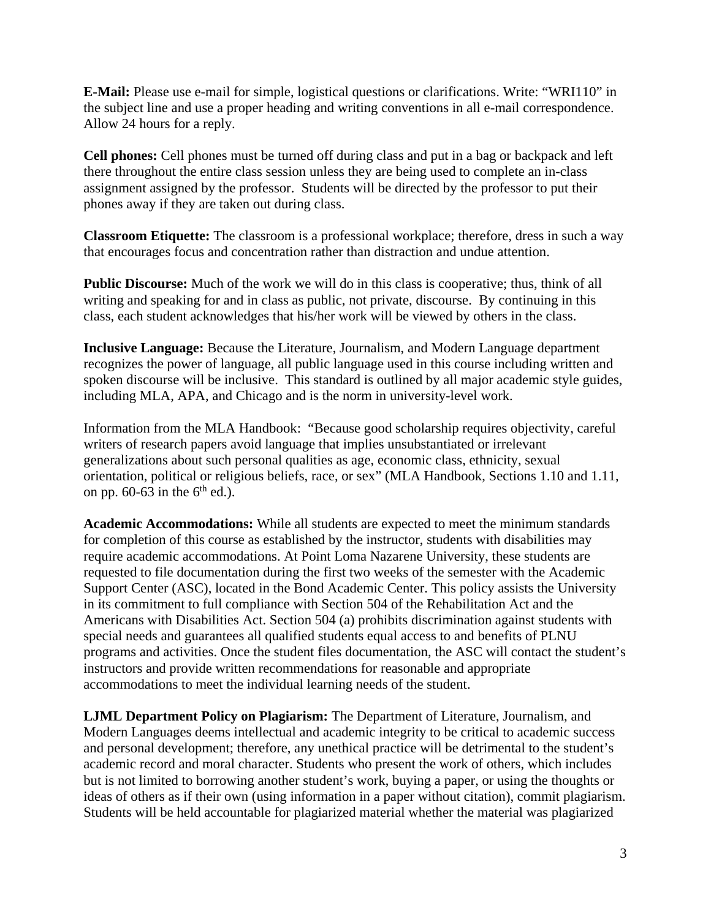**E-Mail:** Please use e-mail for simple, logistical questions or clarifications. Write: "WRI110" in the subject line and use a proper heading and writing conventions in all e-mail correspondence. Allow 24 hours for a reply.

**Cell phones:** Cell phones must be turned off during class and put in a bag or backpack and left there throughout the entire class session unless they are being used to complete an in-class assignment assigned by the professor. Students will be directed by the professor to put their phones away if they are taken out during class.

**Classroom Etiquette:** The classroom is a professional workplace; therefore, dress in such a way that encourages focus and concentration rather than distraction and undue attention.

**Public Discourse:** Much of the work we will do in this class is cooperative; thus, think of all writing and speaking for and in class as public, not private, discourse. By continuing in this class, each student acknowledges that his/her work will be viewed by others in the class.

**Inclusive Language:** Because the Literature, Journalism, and Modern Language department recognizes the power of language, all public language used in this course including written and spoken discourse will be inclusive. This standard is outlined by all major academic style guides, including MLA, APA, and Chicago and is the norm in university-level work.

Information from the MLA Handbook: "Because good scholarship requires objectivity, careful writers of research papers avoid language that implies unsubstantiated or irrelevant generalizations about such personal qualities as age, economic class, ethnicity, sexual orientation, political or religious beliefs, race, or sex" (MLA Handbook, Sections 1.10 and 1.11, on pp.  $60-63$  in the  $6<sup>th</sup>$  ed.).

**Academic Accommodations:** While all students are expected to meet the minimum standards for completion of this course as established by the instructor, students with disabilities may require academic accommodations. At Point Loma Nazarene University, these students are requested to file documentation during the first two weeks of the semester with the Academic Support Center (ASC), located in the Bond Academic Center. This policy assists the University in its commitment to full compliance with Section 504 of the Rehabilitation Act and the Americans with Disabilities Act. Section 504 (a) prohibits discrimination against students with special needs and guarantees all qualified students equal access to and benefits of PLNU programs and activities. Once the student files documentation, the ASC will contact the student's instructors and provide written recommendations for reasonable and appropriate accommodations to meet the individual learning needs of the student.

**LJML Department Policy on Plagiarism:** The Department of Literature, Journalism, and Modern Languages deems intellectual and academic integrity to be critical to academic success and personal development; therefore, any unethical practice will be detrimental to the student's academic record and moral character. Students who present the work of others, which includes but is not limited to borrowing another student's work, buying a paper, or using the thoughts or ideas of others as if their own (using information in a paper without citation), commit plagiarism. Students will be held accountable for plagiarized material whether the material was plagiarized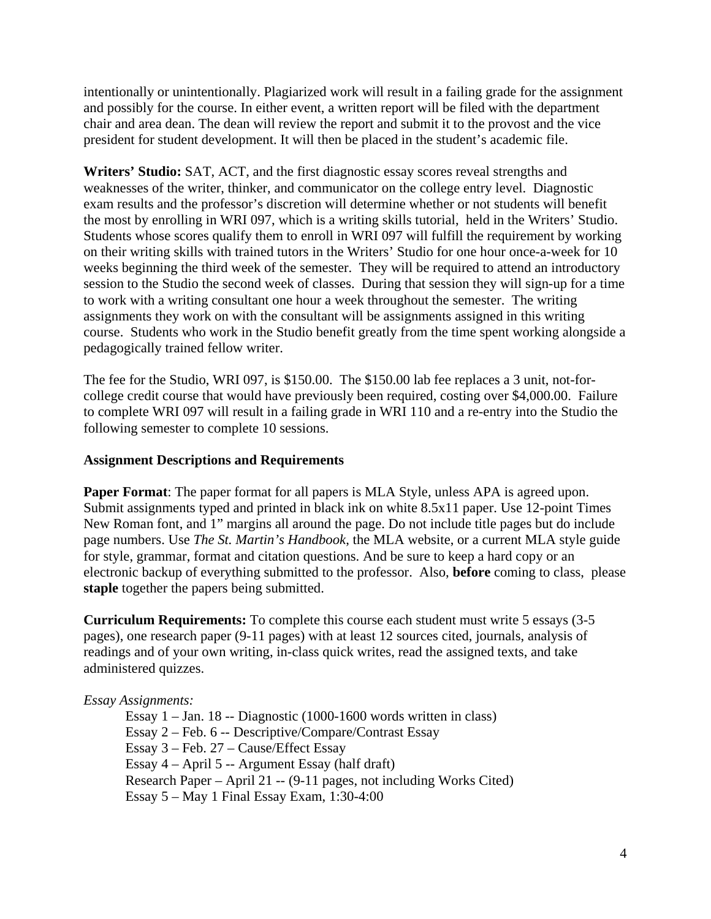intentionally or unintentionally. Plagiarized work will result in a failing grade for the assignment and possibly for the course. In either event, a written report will be filed with the department chair and area dean. The dean will review the report and submit it to the provost and the vice president for student development. It will then be placed in the student's academic file.

**Writers' Studio:** SAT, ACT, and the first diagnostic essay scores reveal strengths and weaknesses of the writer, thinker, and communicator on the college entry level. Diagnostic exam results and the professor's discretion will determine whether or not students will benefit the most by enrolling in WRI 097, which is a writing skills tutorial, held in the Writers' Studio. Students whose scores qualify them to enroll in WRI 097 will fulfill the requirement by working on their writing skills with trained tutors in the Writers' Studio for one hour once-a-week for 10 weeks beginning the third week of the semester. They will be required to attend an introductory session to the Studio the second week of classes. During that session they will sign-up for a time to work with a writing consultant one hour a week throughout the semester. The writing assignments they work on with the consultant will be assignments assigned in this writing course. Students who work in the Studio benefit greatly from the time spent working alongside a pedagogically trained fellow writer.

The fee for the Studio, WRI 097, is \$150.00. The \$150.00 lab fee replaces a 3 unit, not-forcollege credit course that would have previously been required, costing over \$4,000.00. Failure to complete WRI 097 will result in a failing grade in WRI 110 and a re-entry into the Studio the following semester to complete 10 sessions.

### **Assignment Descriptions and Requirements**

**Paper Format**: The paper format for all papers is MLA Style, unless APA is agreed upon. Submit assignments typed and printed in black ink on white 8.5x11 paper. Use 12-point Times New Roman font, and 1" margins all around the page. Do not include title pages but do include page numbers. Use *The St. Martin's Handbook*, the MLA website, or a current MLA style guide for style, grammar, format and citation questions. And be sure to keep a hard copy or an electronic backup of everything submitted to the professor. Also, **before** coming to class, please **staple** together the papers being submitted.

**Curriculum Requirements:** To complete this course each student must write 5 essays (3-5 pages), one research paper (9-11 pages) with at least 12 sources cited, journals, analysis of readings and of your own writing, in-class quick writes, read the assigned texts, and take administered quizzes.

### *Essay Assignments:*

Essay 1 – Jan. 18 -- Diagnostic (1000-1600 words written in class) Essay 2 – Feb. 6 -- Descriptive/Compare/Contrast Essay Essay 3 – Feb. 27 – Cause/Effect Essay Essay 4 – April 5 -- Argument Essay (half draft) Research Paper – April 21 -- (9-11 pages, not including Works Cited) Essay 5 – May 1 Final Essay Exam, 1:30-4:00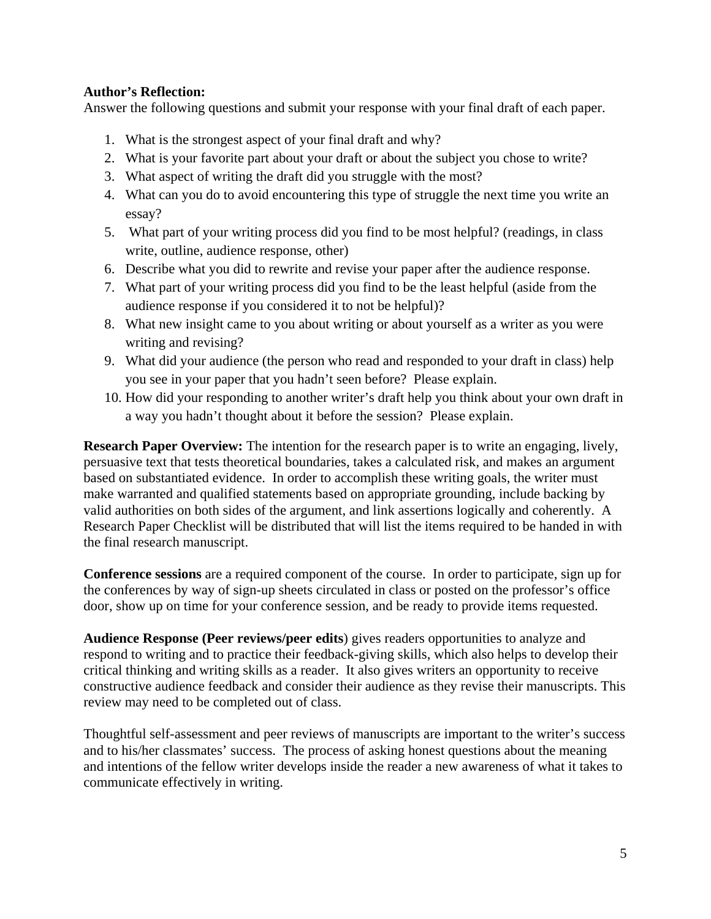## **Author's Reflection:**

Answer the following questions and submit your response with your final draft of each paper.

- 1. What is the strongest aspect of your final draft and why?
- 2. What is your favorite part about your draft or about the subject you chose to write?
- 3. What aspect of writing the draft did you struggle with the most?
- 4. What can you do to avoid encountering this type of struggle the next time you write an essay?
- 5. What part of your writing process did you find to be most helpful? (readings, in class write, outline, audience response, other)
- 6. Describe what you did to rewrite and revise your paper after the audience response.
- 7. What part of your writing process did you find to be the least helpful (aside from the audience response if you considered it to not be helpful)?
- 8. What new insight came to you about writing or about yourself as a writer as you were writing and revising?
- 9. What did your audience (the person who read and responded to your draft in class) help you see in your paper that you hadn't seen before? Please explain.
- 10. How did your responding to another writer's draft help you think about your own draft in a way you hadn't thought about it before the session? Please explain.

**Research Paper Overview:** The intention for the research paper is to write an engaging, lively, persuasive text that tests theoretical boundaries, takes a calculated risk, and makes an argument based on substantiated evidence. In order to accomplish these writing goals, the writer must make warranted and qualified statements based on appropriate grounding, include backing by valid authorities on both sides of the argument, and link assertions logically and coherently. A Research Paper Checklist will be distributed that will list the items required to be handed in with the final research manuscript.

**Conference sessions** are a required component of the course. In order to participate, sign up for the conferences by way of sign-up sheets circulated in class or posted on the professor's office door, show up on time for your conference session, and be ready to provide items requested.

**Audience Response (Peer reviews/peer edits**) gives readers opportunities to analyze and respond to writing and to practice their feedback-giving skills, which also helps to develop their critical thinking and writing skills as a reader. It also gives writers an opportunity to receive constructive audience feedback and consider their audience as they revise their manuscripts. This review may need to be completed out of class.

Thoughtful self-assessment and peer reviews of manuscripts are important to the writer's success and to his/her classmates' success. The process of asking honest questions about the meaning and intentions of the fellow writer develops inside the reader a new awareness of what it takes to communicate effectively in writing.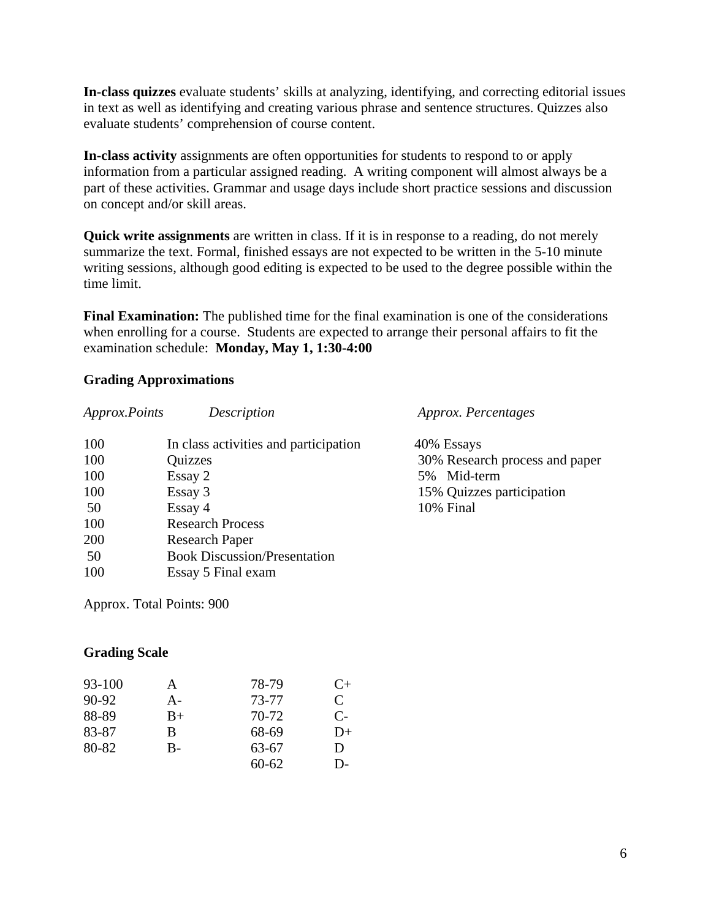**In-class quizzes** evaluate students' skills at analyzing, identifying, and correcting editorial issues in text as well as identifying and creating various phrase and sentence structures. Quizzes also evaluate students' comprehension of course content.

**In-class activity** assignments are often opportunities for students to respond to or apply information from a particular assigned reading. A writing component will almost always be a part of these activities. Grammar and usage days include short practice sessions and discussion on concept and/or skill areas.

**Quick write assignments** are written in class. If it is in response to a reading, do not merely summarize the text. Formal, finished essays are not expected to be written in the 5-10 minute writing sessions, although good editing is expected to be used to the degree possible within the time limit.

**Final Examination:** The published time for the final examination is one of the considerations when enrolling for a course. Students are expected to arrange their personal affairs to fit the examination schedule: **Monday, May 1, 1:30-4:00**

### **Grading Approximations**

| Approx.Points | Description                           | Approx. Percentages            |
|---------------|---------------------------------------|--------------------------------|
| 100           | In class activities and participation | 40% Essays                     |
| 100           | Quizzes                               | 30% Research process and paper |
| 100           | Essay 2                               | 5% Mid-term                    |
| 100           | Essay 3                               | 15% Quizzes participation      |
| 50            | Essay 4                               | 10% Final                      |
| 100           | <b>Research Process</b>               |                                |
| 200           | <b>Research Paper</b>                 |                                |
| 50            | <b>Book Discussion/Presentation</b>   |                                |
| 100           | Essay 5 Final exam                    |                                |

Approx. Total Points: 900

### **Grading Scale**

| 93-100  | A    | 78-79     | $C+$         |
|---------|------|-----------|--------------|
| $90-92$ | А-   | 73-77     | $\mathsf{C}$ |
| 88-89   | $B+$ | 70-72     | $C-$         |
| 83-87   | B    | 68-69     | $D+$         |
| 80-82   | B-   | 63-67     | D            |
|         |      | $60 - 62$ | D-           |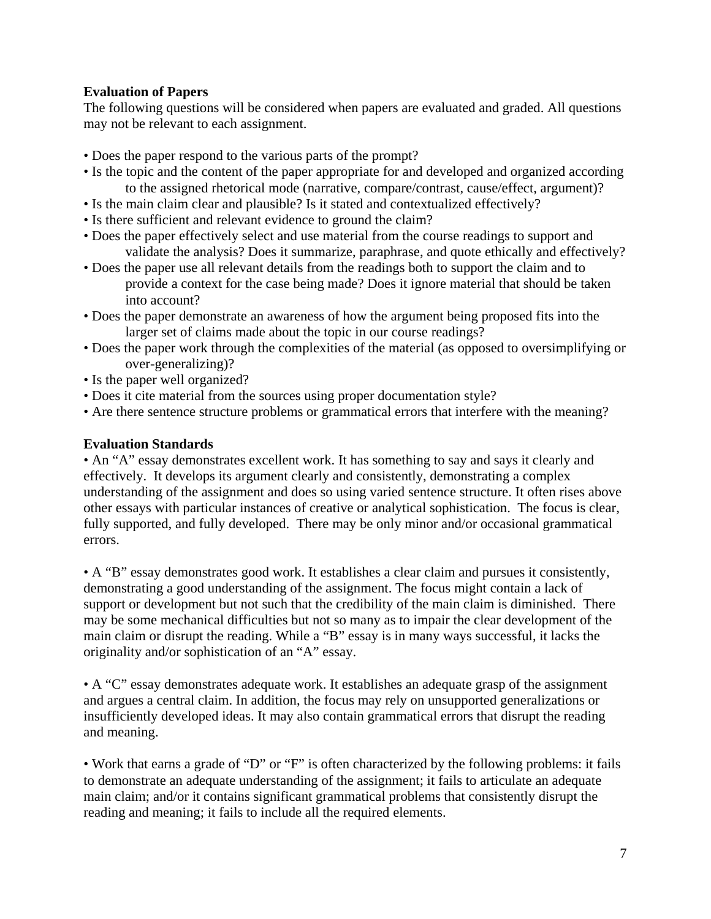## **Evaluation of Papers**

The following questions will be considered when papers are evaluated and graded. All questions may not be relevant to each assignment.

- Does the paper respond to the various parts of the prompt?
- Is the topic and the content of the paper appropriate for and developed and organized according to the assigned rhetorical mode (narrative, compare/contrast, cause/effect, argument)?
- Is the main claim clear and plausible? Is it stated and contextualized effectively?
- Is there sufficient and relevant evidence to ground the claim?
- Does the paper effectively select and use material from the course readings to support and validate the analysis? Does it summarize, paraphrase, and quote ethically and effectively?
- Does the paper use all relevant details from the readings both to support the claim and to provide a context for the case being made? Does it ignore material that should be taken into account?
- Does the paper demonstrate an awareness of how the argument being proposed fits into the larger set of claims made about the topic in our course readings?
- Does the paper work through the complexities of the material (as opposed to oversimplifying or over-generalizing)?
- Is the paper well organized?
- Does it cite material from the sources using proper documentation style?
- Are there sentence structure problems or grammatical errors that interfere with the meaning?

## **Evaluation Standards**

• An "A" essay demonstrates excellent work. It has something to say and says it clearly and effectively. It develops its argument clearly and consistently, demonstrating a complex understanding of the assignment and does so using varied sentence structure. It often rises above other essays with particular instances of creative or analytical sophistication. The focus is clear, fully supported, and fully developed. There may be only minor and/or occasional grammatical errors.

• A "B" essay demonstrates good work. It establishes a clear claim and pursues it consistently, demonstrating a good understanding of the assignment. The focus might contain a lack of support or development but not such that the credibility of the main claim is diminished. There may be some mechanical difficulties but not so many as to impair the clear development of the main claim or disrupt the reading. While a "B" essay is in many ways successful, it lacks the originality and/or sophistication of an "A" essay.

• A "C" essay demonstrates adequate work. It establishes an adequate grasp of the assignment and argues a central claim. In addition, the focus may rely on unsupported generalizations or insufficiently developed ideas. It may also contain grammatical errors that disrupt the reading and meaning.

• Work that earns a grade of "D" or "F" is often characterized by the following problems: it fails to demonstrate an adequate understanding of the assignment; it fails to articulate an adequate main claim; and/or it contains significant grammatical problems that consistently disrupt the reading and meaning; it fails to include all the required elements.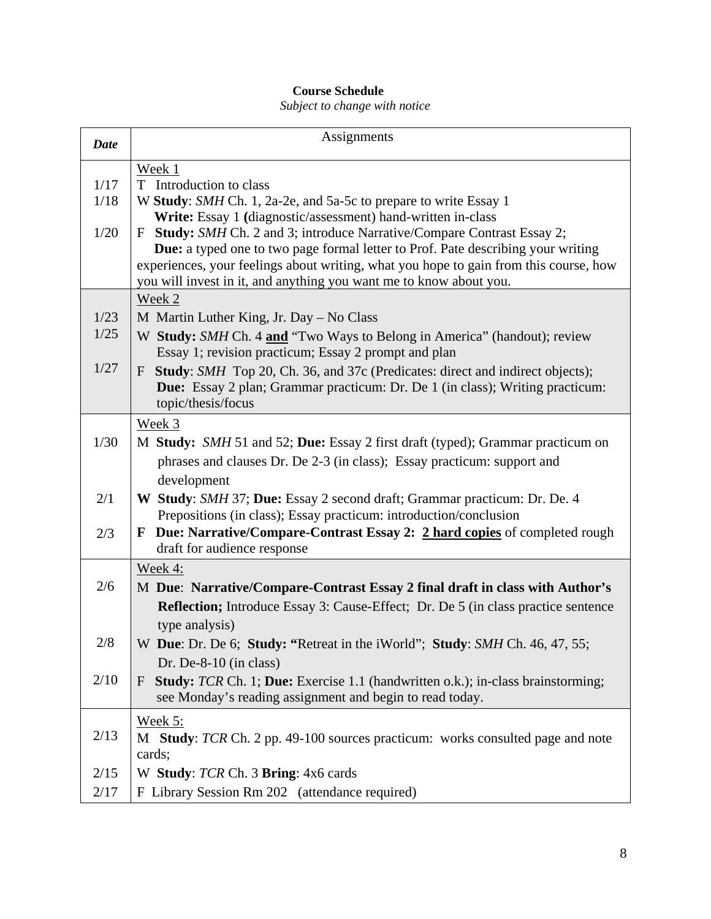# **Course Schedule**

*Subject to change with notice*

| <b>Date</b> | Assignments                                                                                                                                                               |
|-------------|---------------------------------------------------------------------------------------------------------------------------------------------------------------------------|
|             | Week 1                                                                                                                                                                    |
| 1/17        | T Introduction to class                                                                                                                                                   |
| 1/18        | W Study: SMH Ch. 1, 2a-2e, and 5a-5c to prepare to write Essay 1                                                                                                          |
|             | Write: Essay 1 (diagnostic/assessment) hand-written in-class                                                                                                              |
| 1/20        | <b>Study:</b> SMH Ch. 2 and 3; introduce Narrative/Compare Contrast Essay 2;<br>F                                                                                         |
|             | Due: a typed one to two page formal letter to Prof. Pate describing your writing<br>experiences, your feelings about writing, what you hope to gain from this course, how |
|             | you will invest in it, and anything you want me to know about you.                                                                                                        |
|             | Week 2                                                                                                                                                                    |
| 1/23        | M Martin Luther King, Jr. Day - No Class                                                                                                                                  |
| 1/25        | W Study: SMH Ch. 4 and "Two Ways to Belong in America" (handout); review                                                                                                  |
|             | Essay 1; revision practicum; Essay 2 prompt and plan                                                                                                                      |
| 1/27        | <b>Study:</b> SMH Top 20, Ch. 36, and 37c (Predicates: direct and indirect objects);<br>F                                                                                 |
|             | Due: Essay 2 plan; Grammar practicum: Dr. De 1 (in class); Writing practicum:                                                                                             |
|             | topic/thesis/focus                                                                                                                                                        |
|             | Week 3                                                                                                                                                                    |
| 1/30        | M Study: SMH 51 and 52; Due: Essay 2 first draft (typed); Grammar practicum on                                                                                            |
|             | phrases and clauses Dr. De 2-3 (in class); Essay practicum: support and                                                                                                   |
|             | development                                                                                                                                                               |
| 2/1         | W Study: SMH 37; Due: Essay 2 second draft; Grammar practicum: Dr. De. 4                                                                                                  |
|             | Prepositions (in class); Essay practicum: introduction/conclusion                                                                                                         |
| 2/3         | Due: Narrative/Compare-Contrast Essay 2: 2 hard copies of completed rough<br>F                                                                                            |
|             | draft for audience response                                                                                                                                               |
|             | Week 4:                                                                                                                                                                   |
| 2/6         | M Due: Narrative/Compare-Contrast Essay 2 final draft in class with Author's                                                                                              |
|             | <b>Reflection;</b> Introduce Essay 3: Cause-Effect; Dr. De 5 (in class practice sentence                                                                                  |
|             | type analysis)                                                                                                                                                            |
| 2/8         | W Due: Dr. De 6; Study: "Retreat in the iWorld"; Study: SMH Ch. 46, 47, 55;                                                                                               |
|             | Dr. De-8-10 (in class)                                                                                                                                                    |
| 2/10        | <b>Study:</b> TCR Ch. 1; Due: Exercise 1.1 (handwritten o.k.); in-class brainstorming;<br>F                                                                               |
|             | see Monday's reading assignment and begin to read today.                                                                                                                  |
|             | Week 5:                                                                                                                                                                   |
| 2/13        | M Study: TCR Ch. 2 pp. 49-100 sources practicum: works consulted page and note                                                                                            |
|             | cards;                                                                                                                                                                    |
| 2/15        | W Study: TCR Ch. 3 Bring: 4x6 cards                                                                                                                                       |
| 2/17        | F Library Session Rm 202 (attendance required)                                                                                                                            |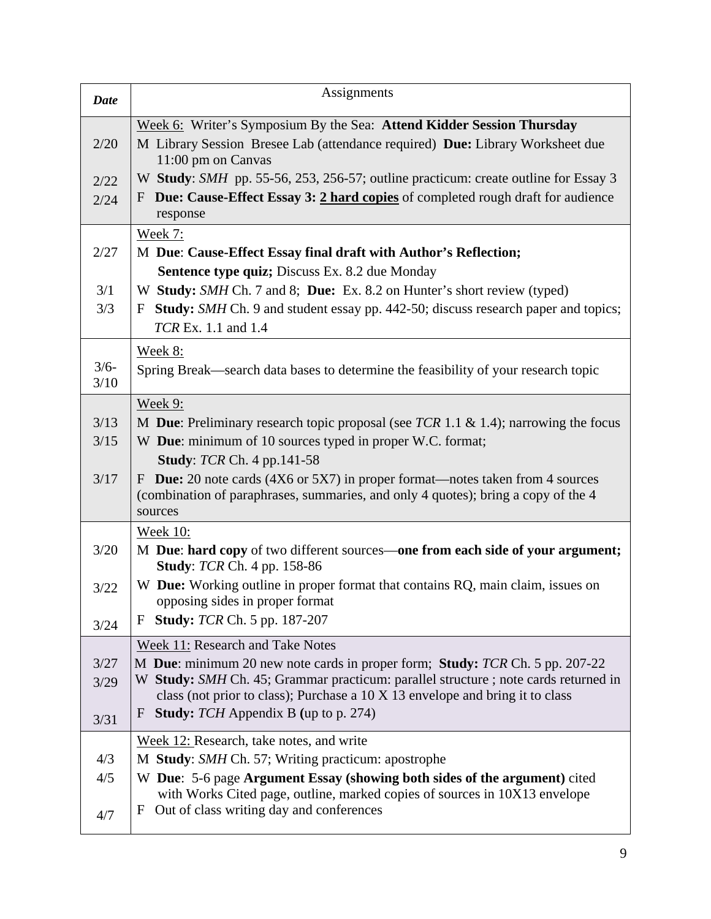| <b>Date</b> | Assignments                                                                                                          |  |
|-------------|----------------------------------------------------------------------------------------------------------------------|--|
|             | Week 6: Writer's Symposium By the Sea: Attend Kidder Session Thursday                                                |  |
| 2/20        | M Library Session Bresee Lab (attendance required) Due: Library Worksheet due<br>11:00 pm on Canvas                  |  |
| 2/22        | W Study: SMH pp. 55-56, 253, 256-57; outline practicum: create outline for Essay 3                                   |  |
| 2/24        | Due: Cause-Effect Essay 3: 2 hard copies of completed rough draft for audience<br>F<br>response                      |  |
|             | <b>Week 7:</b>                                                                                                       |  |
| 2/27        | M Due: Cause-Effect Essay final draft with Author's Reflection;                                                      |  |
|             | <b>Sentence type quiz; Discuss Ex. 8.2 due Monday</b>                                                                |  |
| 3/1         | W Study: SMH Ch. 7 and 8; Due: Ex. 8.2 on Hunter's short review (typed)                                              |  |
| 3/3         | Study: SMH Ch. 9 and student essay pp. 442-50; discuss research paper and topics;<br>F                               |  |
|             | TCR Ex. 1.1 and 1.4                                                                                                  |  |
|             | Week 8:                                                                                                              |  |
| $3/6-$      | Spring Break—search data bases to determine the feasibility of your research topic                                   |  |
| 3/10        |                                                                                                                      |  |
|             | <b>Week 9:</b>                                                                                                       |  |
| 3/13        | M Due: Preliminary research topic proposal (see TCR 1.1 & 1.4); narrowing the focus                                  |  |
| 3/15        | W Due: minimum of 10 sources typed in proper W.C. format;                                                            |  |
|             | <b>Study: TCR Ch. 4 pp.141-58</b>                                                                                    |  |
| 3/17        | <b>Due:</b> 20 note cards (4X6 or 5X7) in proper format—notes taken from 4 sources<br>F                              |  |
|             | (combination of paraphrases, summaries, and only 4 quotes); bring a copy of the 4<br>sources                         |  |
|             | <b>Week 10:</b>                                                                                                      |  |
| 3/20        | M Due: hard copy of two different sources—one from each side of your argument;<br><b>Study: TCR Ch. 4 pp. 158-86</b> |  |
| 3/22        | W Due: Working outline in proper format that contains RQ, main claim, issues on<br>opposing sides in proper format   |  |
| 3/24        | <b>Study:</b> TCR Ch. 5 pp. 187-207<br>F                                                                             |  |
|             | Week 11: Research and Take Notes                                                                                     |  |
| 3/27        | M Due: minimum 20 new note cards in proper form; Study: TCR Ch. 5 pp. 207-22                                         |  |
| 3/29        | W Study: SMH Ch. 45; Grammar practicum: parallel structure ; note cards returned in                                  |  |
|             | class (not prior to class); Purchase a 10 X 13 envelope and bring it to class                                        |  |
| 3/31        | <b>Study:</b> TCH Appendix B (up to p. 274)<br>F                                                                     |  |
|             | Week 12: Research, take notes, and write                                                                             |  |
| 4/3         | M Study: SMH Ch. 57; Writing practicum: apostrophe                                                                   |  |
| 4/5         | W Due: 5-6 page Argument Essay (showing both sides of the argument) cited                                            |  |
|             | with Works Cited page, outline, marked copies of sources in 10X13 envelope                                           |  |
| 4/7         | Out of class writing day and conferences<br>F                                                                        |  |